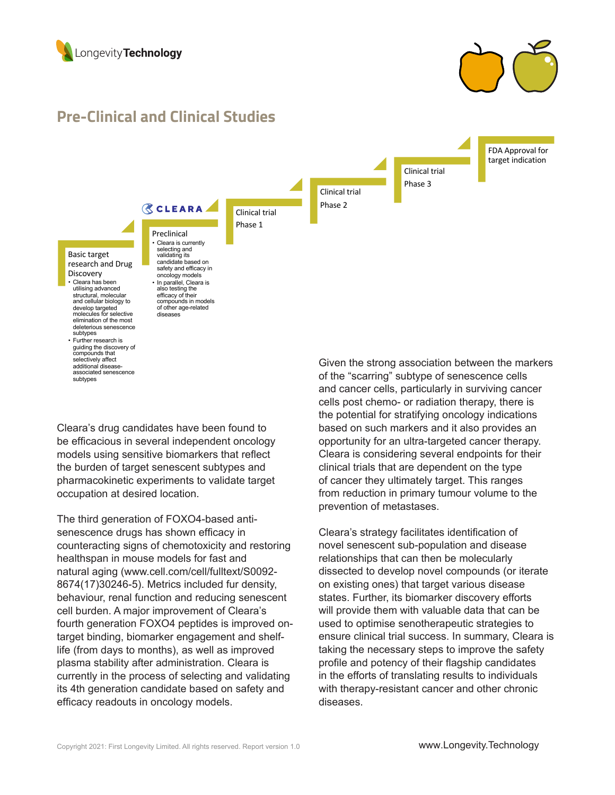

associated senescence subtypes



## **Pre-Clinical and Clinical Studies**



Cleara's drug candidates have been found to be efficacious in several independent oncology models using sensitive biomarkers that reflect the burden of target senescent subtypes and pharmacokinetic experiments to validate target occupation at desired location.

The third generation of FOXO4-based antisenescence drugs has shown efficacy in counteracting signs of chemotoxicity and restoring healthspan in mouse models for fast and natural aging (www.cell.com/cell/fulltext/S0092- 8674(17)30246-5). Metrics included fur density, behaviour, renal function and reducing senescent cell burden. A major improvement of Cleara's fourth generation FOXO4 peptides is improved ontarget binding, biomarker engagement and shelflife (from days to months), as well as improved plasma stability after administration. Cleara is currently in the process of selecting and validating its 4th generation candidate based on safety and efficacy readouts in oncology models.

Given the strong association between the markers of the "scarring" subtype of senescence cells and cancer cells, particularly in surviving cancer cells post chemo- or radiation therapy, there is the potential for stratifying oncology indications based on such markers and it also provides an opportunity for an ultra-targeted cancer therapy. Cleara is considering several endpoints for their clinical trials that are dependent on the type of cancer they ultimately target. This ranges from reduction in primary tumour volume to the prevention of metastases.

Cleara's strategy facilitates identification of novel senescent sub-population and disease relationships that can then be molecularly dissected to develop novel compounds (or iterate on existing ones) that target various disease states. Further, its biomarker discovery efforts will provide them with valuable data that can be used to optimise senotherapeutic strategies to ensure clinical trial success. In summary, Cleara is taking the necessary steps to improve the safety profile and potency of their flagship candidates in the efforts of translating results to individuals with therapy-resistant cancer and other chronic diseases.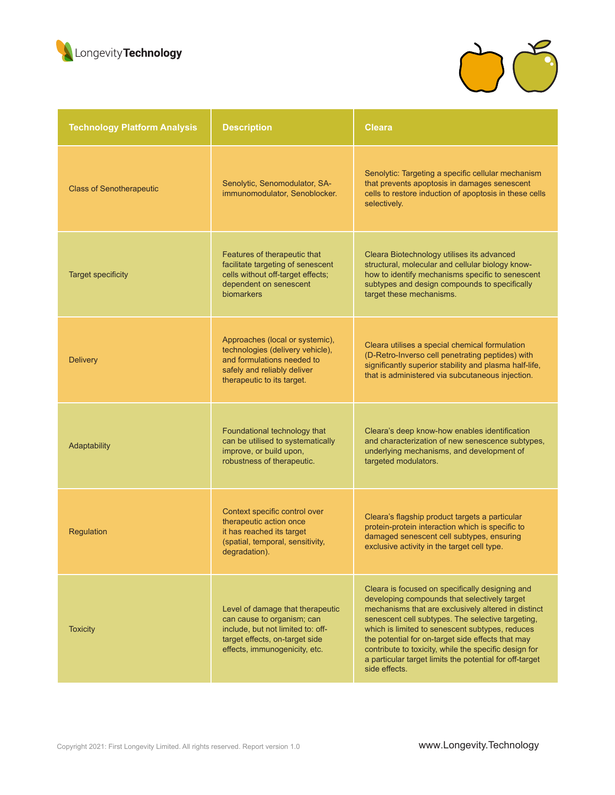



| <b>Technology Platform Analysis</b> | <b>Description</b>                                                                                                                                                     | <b>Cleara</b>                                                                                                                                                                                                                                                                                                                                                                                                                                            |
|-------------------------------------|------------------------------------------------------------------------------------------------------------------------------------------------------------------------|----------------------------------------------------------------------------------------------------------------------------------------------------------------------------------------------------------------------------------------------------------------------------------------------------------------------------------------------------------------------------------------------------------------------------------------------------------|
| <b>Class of Senotherapeutic</b>     | Senolytic, Senomodulator, SA-<br>immunomodulator, Senoblocker.                                                                                                         | Senolytic: Targeting a specific cellular mechanism<br>that prevents apoptosis in damages senescent<br>cells to restore induction of apoptosis in these cells<br>selectively.                                                                                                                                                                                                                                                                             |
| <b>Target specificity</b>           | Features of therapeutic that<br>facilitate targeting of senescent<br>cells without off-target effects;<br>dependent on senescent<br>biomarkers                         | Cleara Biotechnology utilises its advanced<br>structural, molecular and cellular biology know-<br>how to identify mechanisms specific to senescent<br>subtypes and design compounds to specifically<br>target these mechanisms.                                                                                                                                                                                                                          |
| <b>Delivery</b>                     | Approaches (local or systemic),<br>technologies (delivery vehicle),<br>and formulations needed to<br>safely and reliably deliver<br>therapeutic to its target.         | Cleara utilises a special chemical formulation<br>(D-Retro-Inverso cell penetrating peptides) with<br>significantly superior stability and plasma half-life,<br>that is administered via subcutaneous injection.                                                                                                                                                                                                                                         |
| Adaptability                        | Foundational technology that<br>can be utilised to systematically<br>improve, or build upon,<br>robustness of therapeutic.                                             | Cleara's deep know-how enables identification<br>and characterization of new senescence subtypes,<br>underlying mechanisms, and development of<br>targeted modulators.                                                                                                                                                                                                                                                                                   |
| Regulation                          | Context specific control over<br>therapeutic action once<br>it has reached its target<br>(spatial, temporal, sensitivity,<br>degradation).                             | Cleara's flagship product targets a particular<br>protein-protein interaction which is specific to<br>damaged senescent cell subtypes, ensuring<br>exclusive activity in the target cell type.                                                                                                                                                                                                                                                           |
| <b>Toxicity</b>                     | Level of damage that therapeutic<br>can cause to organism; can<br>include, but not limited to: off-<br>target effects, on-target side<br>effects, immunogenicity, etc. | Cleara is focused on specifically designing and<br>developing compounds that selectively target<br>mechanisms that are exclusively altered in distinct<br>senescent cell subtypes. The selective targeting,<br>which is limited to senescent subtypes, reduces<br>the potential for on-target side effects that may<br>contribute to toxicity, while the specific design for<br>a particular target limits the potential for off-target<br>side effects. |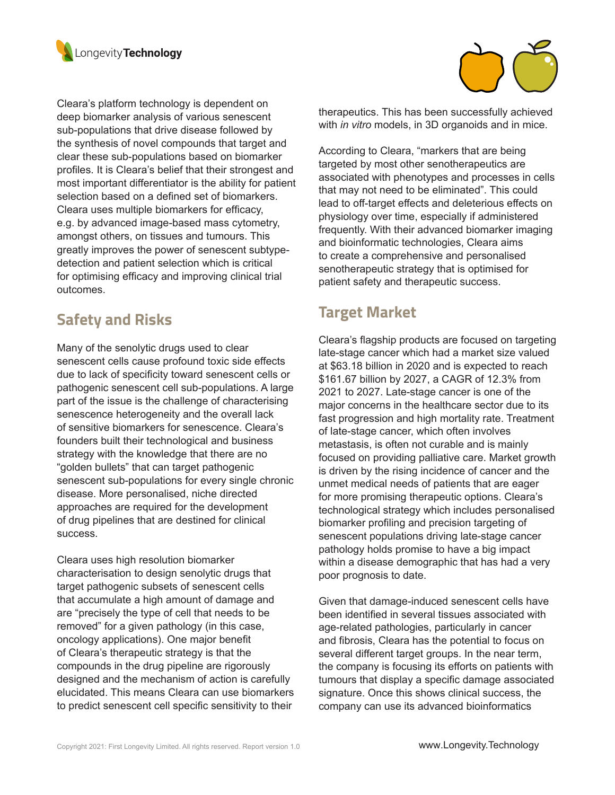

Cleara's platform technology is dependent on deep biomarker analysis of various senescent sub-populations that drive disease followed by the synthesis of novel compounds that target and clear these sub-populations based on biomarker profiles. It is Cleara's belief that their strongest and most important differentiator is the ability for patient selection based on a defined set of biomarkers. Cleara uses multiple biomarkers for efficacy, e.g. by advanced image-based mass cytometry, amongst others, on tissues and tumours. This greatly improves the power of senescent subtypedetection and patient selection which is critical for optimising efficacy and improving clinical trial outcomes.

# **Safety and Risks**

Many of the senolytic drugs used to clear senescent cells cause profound toxic side effects due to lack of specificity toward senescent cells or pathogenic senescent cell sub-populations. A large part of the issue is the challenge of characterising senescence heterogeneity and the overall lack of sensitive biomarkers for senescence. Cleara's founders built their technological and business strategy with the knowledge that there are no "golden bullets" that can target pathogenic senescent sub-populations for every single chronic disease. More personalised, niche directed approaches are required for the development of drug pipelines that are destined for clinical success.

Cleara uses high resolution biomarker characterisation to design senolytic drugs that target pathogenic subsets of senescent cells that accumulate a high amount of damage and are "precisely the type of cell that needs to be removed" for a given pathology (in this case, oncology applications). One major benefit of Cleara's therapeutic strategy is that the compounds in the drug pipeline are rigorously designed and the mechanism of action is carefully elucidated. This means Cleara can use biomarkers to predict senescent cell specific sensitivity to their



therapeutics. This has been successfully achieved with *in vitro* models, in 3D organoids and in mice.

According to Cleara, "markers that are being targeted by most other senotherapeutics are associated with phenotypes and processes in cells that may not need to be eliminated". This could lead to off-target effects and deleterious effects on physiology over time, especially if administered frequently. With their advanced biomarker imaging and bioinformatic technologies, Cleara aims to create a comprehensive and personalised senotherapeutic strategy that is optimised for patient safety and therapeutic success.

### **Target Market**

Cleara's flagship products are focused on targeting late-stage cancer which had a market size valued at \$63.18 billion in 2020 and is expected to reach \$161.67 billion by 2027, a CAGR of 12.3% from 2021 to 2027. Late-stage cancer is one of the major concerns in the healthcare sector due to its fast progression and high mortality rate. Treatment of late-stage cancer, which often involves metastasis, is often not curable and is mainly focused on providing palliative care. Market growth is driven by the rising incidence of cancer and the unmet medical needs of patients that are eager for more promising therapeutic options. Cleara's technological strategy which includes personalised biomarker profiling and precision targeting of senescent populations driving late-stage cancer pathology holds promise to have a big impact within a disease demographic that has had a very poor prognosis to date.

Given that damage-induced senescent cells have been identified in several tissues associated with age-related pathologies, particularly in cancer and fibrosis, Cleara has the potential to focus on several different target groups. In the near term, the company is focusing its efforts on patients with tumours that display a specific damage associated signature. Once this shows clinical success, the company can use its advanced bioinformatics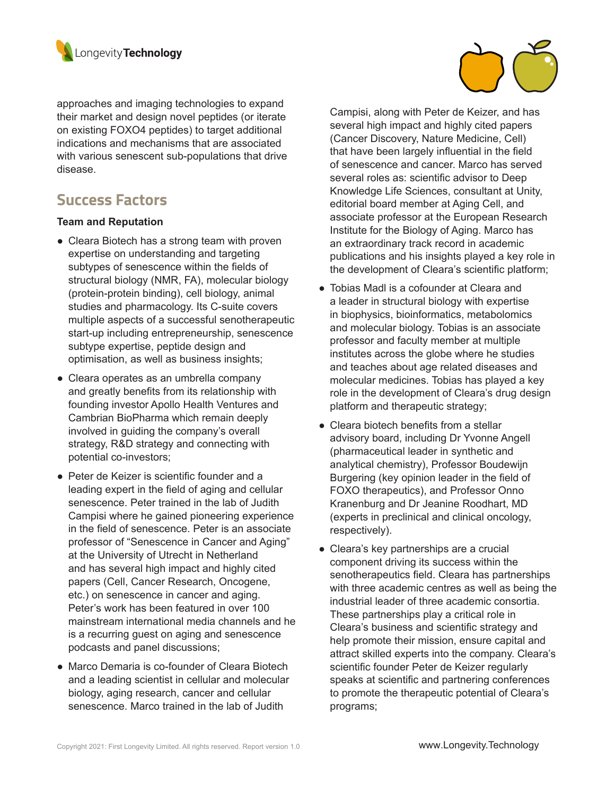

approaches and imaging technologies to expand their market and design novel peptides (or iterate on existing FOXO4 peptides) to target additional indications and mechanisms that are associated with various senescent sub-populations that drive disease.

### **Success Factors**

#### **Team and Reputation**

- Cleara Biotech has a strong team with proven expertise on understanding and targeting subtypes of senescence within the fields of structural biology (NMR, FA), molecular biology (protein-protein binding), cell biology, animal studies and pharmacology. Its C-suite covers multiple aspects of a successful senotherapeutic start-up including entrepreneurship, senescence subtype expertise, peptide design and optimisation, as well as business insights;
- Cleara operates as an umbrella company and greatly benefits from its relationship with founding investor Apollo Health Ventures and Cambrian BioPharma which remain deeply involved in guiding the company's overall strategy, R&D strategy and connecting with potential co-investors;
- Peter de Keizer is scientific founder and a leading expert in the field of aging and cellular senescence. Peter trained in the lab of Judith Campisi where he gained pioneering experience in the field of senescence. Peter is an associate professor of "Senescence in Cancer and Aging" at the University of Utrecht in Netherland and has several high impact and highly cited papers (Cell, Cancer Research, Oncogene, etc.) on senescence in cancer and aging. Peter's work has been featured in over 100 mainstream international media channels and he is a recurring guest on aging and senescence podcasts and panel discussions;
- Marco Demaria is co-founder of Cleara Biotech and a leading scientist in cellular and molecular biology, aging research, cancer and cellular senescence. Marco trained in the lab of Judith



Campisi, along with Peter de Keizer, and has several high impact and highly cited papers (Cancer Discovery, Nature Medicine, Cell) that have been largely influential in the field of senescence and cancer. Marco has served several roles as: scientific advisor to Deep Knowledge Life Sciences, consultant at Unity, editorial board member at Aging Cell, and associate professor at the European Research Institute for the Biology of Aging. Marco has an extraordinary track record in academic publications and his insights played a key role in the development of Cleara's scientific platform;

- Tobias Madl is a cofounder at Cleara and a leader in structural biology with expertise in biophysics, bioinformatics, metabolomics and molecular biology. Tobias is an associate professor and faculty member at multiple institutes across the globe where he studies and teaches about age related diseases and molecular medicines. Tobias has played a key role in the development of Cleara's drug design platform and therapeutic strategy;
- Cleara biotech benefits from a stellar advisory board, including Dr Yvonne Angell (pharmaceutical leader in synthetic and analytical chemistry), Professor Boudewijn Burgering (key opinion leader in the field of FOXO therapeutics), and Professor Onno Kranenburg and Dr Jeanine Roodhart, MD (experts in preclinical and clinical oncology, respectively).
- Cleara's key partnerships are a crucial component driving its success within the senotherapeutics field. Cleara has partnerships with three academic centres as well as being the industrial leader of three academic consortia. These partnerships play a critical role in Cleara's business and scientific strategy and help promote their mission, ensure capital and attract skilled experts into the company. Cleara's scientific founder Peter de Keizer regularly speaks at scientific and partnering conferences to promote the therapeutic potential of Cleara's programs;